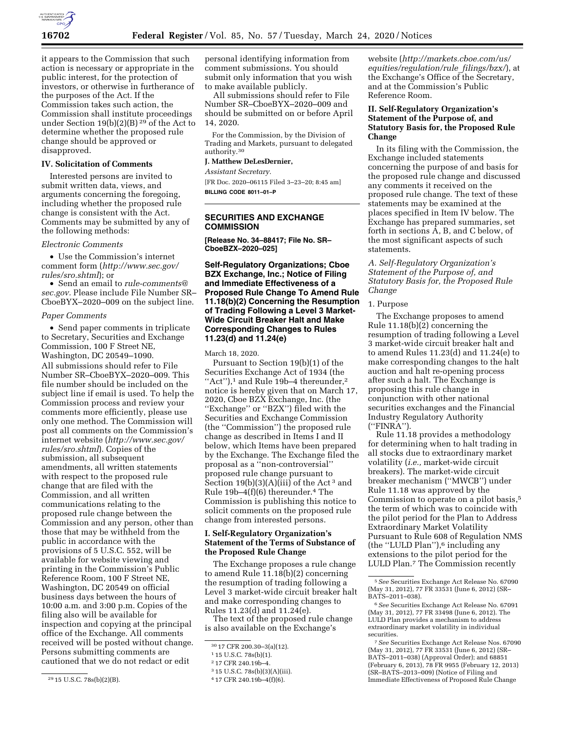

it appears to the Commission that such action is necessary or appropriate in the public interest, for the protection of investors, or otherwise in furtherance of the purposes of the Act. If the Commission takes such action, the Commission shall institute proceedings under Section 19(b)(2)(B) 29 of the Act to determine whether the proposed rule change should be approved or disapproved.

#### **IV. Solicitation of Comments**

Interested persons are invited to submit written data, views, and arguments concerning the foregoing, including whether the proposed rule change is consistent with the Act. Comments may be submitted by any of the following methods:

#### *Electronic Comments*

• Use the Commission's internet comment form (*[http://www.sec.gov/](http://www.sec.gov/rules/sro.shtml)  [rules/sro.shtml](http://www.sec.gov/rules/sro.shtml)*); or

• Send an email to *[rule-comments@](mailto:rule-comments@sec.gov) [sec.gov.](mailto:rule-comments@sec.gov)* Please include File Number SR– CboeBYX–2020–009 on the subject line.

#### *Paper Comments*

• Send paper comments in triplicate to Secretary, Securities and Exchange Commission, 100 F Street NE, Washington, DC 20549–1090. All submissions should refer to File Number SR–CboeBYX–2020–009. This file number should be included on the subject line if email is used. To help the Commission process and review your comments more efficiently, please use only one method. The Commission will post all comments on the Commission's internet website (*[http://www.sec.gov/](http://www.sec.gov/rules/sro.shtml)  [rules/sro.shtml](http://www.sec.gov/rules/sro.shtml)*). Copies of the submission, all subsequent amendments, all written statements with respect to the proposed rule change that are filed with the Commission, and all written communications relating to the proposed rule change between the Commission and any person, other than those that may be withheld from the public in accordance with the provisions of 5 U.S.C. 552, will be available for website viewing and printing in the Commission's Public Reference Room, 100 F Street NE, Washington, DC 20549 on official business days between the hours of 10:00 a.m. and 3:00 p.m. Copies of the filing also will be available for inspection and copying at the principal office of the Exchange. All comments received will be posted without change. Persons submitting comments are cautioned that we do not redact or edit

29 15 U.S.C. 78s(b)(2)(B).

personal identifying information from comment submissions. You should submit only information that you wish to make available publicly.

All submissions should refer to File Number SR–CboeBYX–2020–009 and should be submitted on or before April 14, 2020.

For the Commission, by the Division of Trading and Markets, pursuant to delegated authority.30

## **J. Matthew DeLesDernier,**

*Assistant Secretary.* 

[FR Doc. 2020–06115 Filed 3–23–20; 8:45 am] **BILLING CODE 8011–01–P** 

# **SECURITIES AND EXCHANGE COMMISSION**

**[Release No. 34–88417; File No. SR– CboeBZX–2020–025]** 

**Self-Regulatory Organizations; Cboe BZX Exchange, Inc.; Notice of Filing and Immediate Effectiveness of a Proposed Rule Change To Amend Rule 11.18(b)(2) Concerning the Resumption of Trading Following a Level 3 Market-Wide Circuit Breaker Halt and Make Corresponding Changes to Rules 11.23(d) and 11.24(e)** 

#### March 18, 2020.

Pursuant to Section 19(b)(1) of the Securities Exchange Act of 1934 (the "Act"),<sup>1</sup> and Rule 19b-4 thereunder,<sup>2</sup> notice is hereby given that on March 17, 2020, Cboe BZX Exchange, Inc. (the ''Exchange'' or ''BZX'') filed with the Securities and Exchange Commission (the ''Commission'') the proposed rule change as described in Items I and II below, which Items have been prepared by the Exchange. The Exchange filed the proposal as a ''non-controversial'' proposed rule change pursuant to Section  $19(b)(3)(A)(iii)$  of the Act<sup>3</sup> and Rule 19b–4(f)(6) thereunder.4 The Commission is publishing this notice to solicit comments on the proposed rule change from interested persons.

### **I. Self-Regulatory Organization's Statement of the Terms of Substance of the Proposed Rule Change**

The Exchange proposes a rule change to amend Rule 11.18(b)(2) concerning the resumption of trading following a Level 3 market-wide circuit breaker halt and make corresponding changes to Rules 11.23(d) and 11.24(e).

The text of the proposed rule change is also available on the Exchange's

website (*[http://markets.cboe.com/us/](http://markets.cboe.com/us/equities/regulation/rule_filings/bzx/) [equities/regulation/rule](http://markets.cboe.com/us/equities/regulation/rule_filings/bzx/)*\_*filings/bzx/*), at the Exchange's Office of the Secretary, and at the Commission's Public Reference Room.

## **II. Self-Regulatory Organization's Statement of the Purpose of, and Statutory Basis for, the Proposed Rule Change**

In its filing with the Commission, the Exchange included statements concerning the purpose of and basis for the proposed rule change and discussed any comments it received on the proposed rule change. The text of these statements may be examined at the places specified in Item IV below. The Exchange has prepared summaries, set forth in sections A, B, and C below, of the most significant aspects of such statements.

*A. Self-Regulatory Organization's Statement of the Purpose of, and Statutory Basis for, the Proposed Rule Change* 

#### 1. Purpose

The Exchange proposes to amend Rule 11.18(b)(2) concerning the resumption of trading following a Level 3 market-wide circuit breaker halt and to amend Rules 11.23(d) and 11.24(e) to make corresponding changes to the halt auction and halt re-opening process after such a halt. The Exchange is proposing this rule change in conjunction with other national securities exchanges and the Financial Industry Regulatory Authority (''FINRA'').

Rule 11.18 provides a methodology for determining when to halt trading in all stocks due to extraordinary market volatility (*i.e.,* market-wide circuit breakers). The market-wide circuit breaker mechanism (''MWCB'') under Rule 11.18 was approved by the Commission to operate on a pilot basis,<sup>5</sup> the term of which was to coincide with the pilot period for the Plan to Address Extraordinary Market Volatility Pursuant to Rule 608 of Regulation NMS (the "LULD Plan"),<sup>6</sup> including any extensions to the pilot period for the LULD Plan.7 The Commission recently

<sup>30</sup> 17 CFR 200.30–3(a)(12).

<sup>1</sup> 15 U.S.C. 78s(b)(1).

<sup>2</sup> 17 CFR 240.19b–4.

<sup>3</sup> 15 U.S.C. 78s(b)(3)(A)(iii).

<sup>4</sup> 17 CFR 240.19b–4(f)(6).

<sup>5</sup>*See* Securities Exchange Act Release No. 67090 (May 31, 2012), 77 FR 33531 (June 6, 2012) (SR– BATS–2011–038).

<sup>6</sup>*See* Securities Exchange Act Release No. 67091 (May 31, 2012), 77 FR 33498 (June 6, 2012). The LULD Plan provides a mechanism to address extraordinary market volatility in individual securities.

<sup>7</sup>*See* Securities Exchange Act Release Nos. 67090 (May 31, 2012), 77 FR 33531 (June 6, 2012) (SR– BATS–2011–038) (Approval Order); and 68851 (February 6, 2013), 78 FR 9955 (February 12, 2013) (SR–BATS–2013–009) (Notice of Filing and Immediate Effectiveness of Proposed Rule Change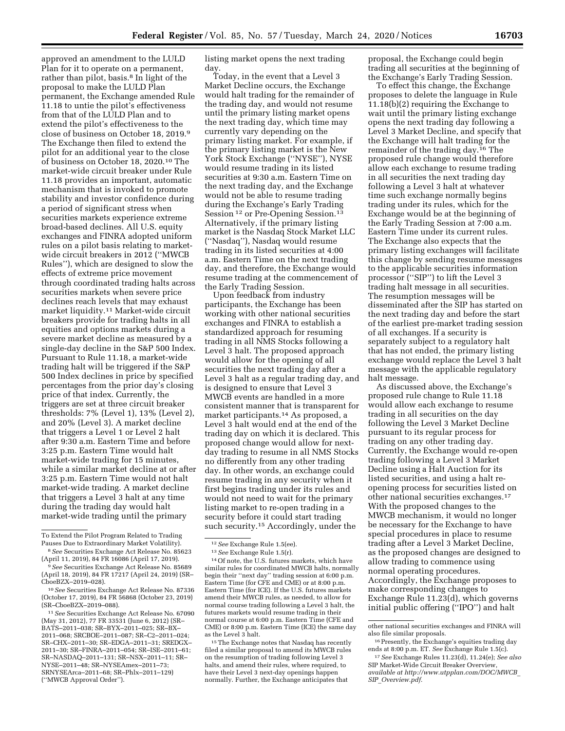approved an amendment to the LULD Plan for it to operate on a permanent, rather than pilot, basis.<sup>8</sup> In light of the proposal to make the LULD Plan permanent, the Exchange amended Rule 11.18 to untie the pilot's effectiveness from that of the LULD Plan and to extend the pilot's effectiveness to the close of business on October 18, 2019.9 The Exchange then filed to extend the pilot for an additional year to the close of business on October 18, 2020.10 The market-wide circuit breaker under Rule 11.18 provides an important, automatic mechanism that is invoked to promote stability and investor confidence during a period of significant stress when securities markets experience extreme broad-based declines. All U.S. equity exchanges and FINRA adopted uniform rules on a pilot basis relating to marketwide circuit breakers in 2012 (''MWCB Rules''), which are designed to slow the effects of extreme price movement through coordinated trading halts across securities markets when severe price declines reach levels that may exhaust market liquidity.11 Market-wide circuit breakers provide for trading halts in all equities and options markets during a severe market decline as measured by a single-day decline in the S&P 500 Index. Pursuant to Rule 11.18, a market-wide trading halt will be triggered if the S&P 500 Index declines in price by specified percentages from the prior day's closing price of that index. Currently, the triggers are set at three circuit breaker thresholds: 7% (Level 1), 13% (Level 2), and 20% (Level 3). A market decline that triggers a Level 1 or Level 2 halt after 9:30 a.m. Eastern Time and before 3:25 p.m. Eastern Time would halt market-wide trading for 15 minutes, while a similar market decline at or after 3:25 p.m. Eastern Time would not halt market-wide trading. A market decline that triggers a Level 3 halt at any time during the trading day would halt market-wide trading until the primary

listing market opens the next trading day.

Today, in the event that a Level 3 Market Decline occurs, the Exchange would halt trading for the remainder of the trading day, and would not resume until the primary listing market opens the next trading day, which time may currently vary depending on the primary listing market. For example, if the primary listing market is the New York Stock Exchange (''NYSE''), NYSE would resume trading in its listed securities at 9:30 a.m. Eastern Time on the next trading day, and the Exchange would not be able to resume trading during the Exchange's Early Trading Session<sup>12</sup> or Pre-Opening Session.<sup>13</sup> Alternatively, if the primary listing market is the Nasdaq Stock Market LLC (''Nasdaq''), Nasdaq would resume trading in its listed securities at 4:00 a.m. Eastern Time on the next trading day, and therefore, the Exchange would resume trading at the commencement of the Early Trading Session.

Upon feedback from industry participants, the Exchange has been working with other national securities exchanges and FINRA to establish a standardized approach for resuming trading in all NMS Stocks following a Level 3 halt. The proposed approach would allow for the opening of all securities the next trading day after a Level 3 halt as a regular trading day, and is designed to ensure that Level 3 MWCB events are handled in a more consistent manner that is transparent for market participants.14 As proposed, a Level 3 halt would end at the end of the trading day on which it is declared. This proposed change would allow for nextday trading to resume in all NMS Stocks no differently from any other trading day. In other words, an exchange could resume trading in any security when it first begins trading under its rules and would not need to wait for the primary listing market to re-open trading in a security before it could start trading such security.15 Accordingly, under the

14Of note, the U.S. futures markets, which have similar rules for coordinated MWCB halts, normally begin their ''next day'' trading session at 6:00 p.m. Eastern Time (for CFE and CME) or at 8:00 p.m. Eastern Time (for ICE). If the U.S. futures markets amend their MWCB rules, as needed, to allow for normal course trading following a Level 3 halt, the futures markets would resume trading in their normal course at 6:00 p.m. Eastern Time (CFE and CME) or 8:00 p.m. Eastern Time (ICE) the same day as the Level 3 halt.

<sup>15</sup> The Exchange notes that Nasdaq has recently filed a similar proposal to amend its MWCB rules on the resumption of trading following Level 3 halts, and amend their rules, where required, to have their Level 3 next-day openings happen normally. Further, the Exchange anticipates that

proposal, the Exchange could begin trading all securities at the beginning of the Exchange's Early Trading Session.

To effect this change, the Exchange proposes to delete the language in Rule 11.18(b)(2) requiring the Exchange to wait until the primary listing exchange opens the next trading day following a Level 3 Market Decline, and specify that the Exchange will halt trading for the remainder of the trading day.16 The proposed rule change would therefore allow each exchange to resume trading in all securities the next trading day following a Level 3 halt at whatever time such exchange normally begins trading under its rules, which for the Exchange would be at the beginning of the Early Trading Session at 7:00 a.m. Eastern Time under its current rules. The Exchange also expects that the primary listing exchanges will facilitate this change by sending resume messages to the applicable securities information processor (''SIP'') to lift the Level 3 trading halt message in all securities. The resumption messages will be disseminated after the SIP has started on the next trading day and before the start of the earliest pre-market trading session of all exchanges. If a security is separately subject to a regulatory halt that has not ended, the primary listing exchange would replace the Level 3 halt message with the applicable regulatory halt message.

As discussed above, the Exchange's proposed rule change to Rule 11.18 would allow each exchange to resume trading in all securities on the day following the Level 3 Market Decline pursuant to its regular process for trading on any other trading day. Currently, the Exchange would re-open trading following a Level 3 Market Decline using a Halt Auction for its listed securities, and using a halt reopening process for securities listed on other national securities exchanges.17 With the proposed changes to the MWCB mechanism, it would no longer be necessary for the Exchange to have special procedures in place to resume trading after a Level 3 Market Decline, as the proposed changes are designed to allow trading to commence using normal operating procedures. Accordingly, the Exchange proposes to make corresponding changes to Exchange Rule 11.23(d), which governs initial public offering (''IPO'') and halt

To Extend the Pilot Program Related to Trading Pauses Due to Extraordinary Market Volatility).

<sup>8</sup>*See* Securities Exchange Act Release No. 85623 (April 11, 2019), 84 FR 16086 (April 17, 2019).

<sup>9</sup>*See* Securities Exchange Act Release No. 85689 (April 18, 2019), 84 FR 17217 (April 24, 2019) (SR– CboeBZX–2019–028).

<sup>10</sup>*See* Securities Exchange Act Release No. 87336 (October 17, 2019), 84 FR 56868 (October 23, 2019) (SR–CboeBZX–2019–088).

<sup>11</sup>*See* Securities Exchange Act Release No. 67090 (May 31, 2012), 77 FR 33531 (June 6, 2012) (SR– BATS–2011–038; SR–BYX–2011–025; SR–BX– 2011–068; SRCBOE–2011–087; SR–C2–2011–024; SR–CHX–2011–30; SR–EDGA–2011–31; SREDGX– 2011–30; SR–FINRA–2011–054; SR–ISE–2011–61; SR–NASDAQ–2011–131; SR–NSX–2011–11; SR– NYSE–2011–48; SR–NYSEAmex–2011–73; SRNYSEArca–2011–68; SR–Phlx–2011–129) (''MWCB Approval Order'').

<sup>12</sup>*See* Exchange Rule 1.5(ee).

<sup>13</sup>*See* Exchange Rule 1.5(r).

other national securities exchanges and FINRA will also file similar proposals.

 $^{\rm 16}$  Presently, the Exchange's equities trading day ends at 8:00 p.m. ET. *See* Exchange Rule 1.5(c).

<sup>17</sup>*See* Exchange Rules 11.23(d), 11.24(e); *See also*  SIP Market-Wide Circuit Breaker Overview,

*available at [http://www.utpplan.com/DOC/MWCB](http://www.utpplan.com/DOC/MWCB_SIP_Overview.pdf)*\_ *SIP*\_*[Overview.pdf.](http://www.utpplan.com/DOC/MWCB_SIP_Overview.pdf)*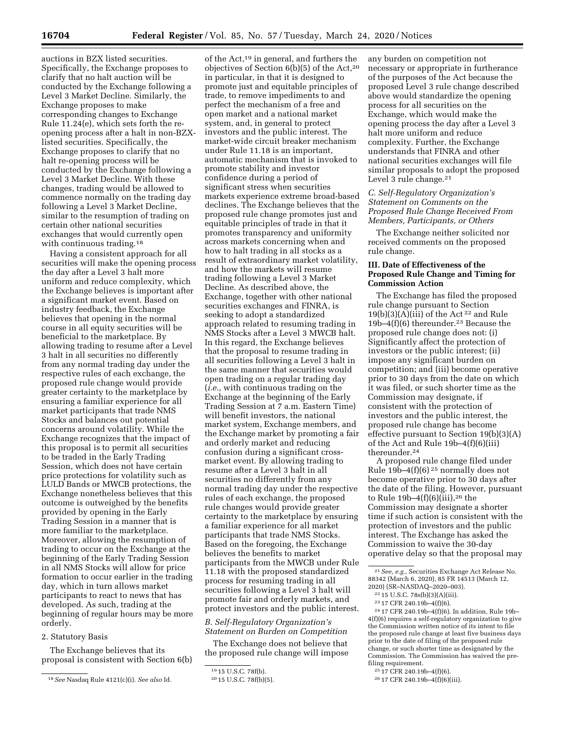auctions in BZX listed securities. Specifically, the Exchange proposes to clarify that no halt auction will be conducted by the Exchange following a Level 3 Market Decline. Similarly, the Exchange proposes to make corresponding changes to Exchange Rule 11.24(e), which sets forth the reopening process after a halt in non-BZXlisted securities. Specifically, the Exchange proposes to clarify that no halt re-opening process will be conducted by the Exchange following a Level 3 Market Decline. With these changes, trading would be allowed to commence normally on the trading day following a Level 3 Market Decline, similar to the resumption of trading on certain other national securities exchanges that would currently open with continuous trading.<sup>18</sup>

Having a consistent approach for all securities will make the opening process the day after a Level 3 halt more uniform and reduce complexity, which the Exchange believes is important after a significant market event. Based on industry feedback, the Exchange believes that opening in the normal course in all equity securities will be beneficial to the marketplace. By allowing trading to resume after a Level 3 halt in all securities no differently from any normal trading day under the respective rules of each exchange, the proposed rule change would provide greater certainty to the marketplace by ensuring a familiar experience for all market participants that trade NMS Stocks and balances out potential concerns around volatility. While the Exchange recognizes that the impact of this proposal is to permit all securities to be traded in the Early Trading Session, which does not have certain price protections for volatility such as LULD Bands or MWCB protections, the Exchange nonetheless believes that this outcome is outweighed by the benefits provided by opening in the Early Trading Session in a manner that is more familiar to the marketplace. Moreover, allowing the resumption of trading to occur on the Exchange at the beginning of the Early Trading Session in all NMS Stocks will allow for price formation to occur earlier in the trading day, which in turn allows market participants to react to news that has developed. As such, trading at the beginning of regular hours may be more orderly.

# 2. Statutory Basis

The Exchange believes that its proposal is consistent with Section 6(b)

of the Act,19 in general, and furthers the objectives of Section 6(b)(5) of the Act,20 in particular, in that it is designed to promote just and equitable principles of trade, to remove impediments to and perfect the mechanism of a free and open market and a national market system, and, in general to protect investors and the public interest. The market-wide circuit breaker mechanism under Rule 11.18 is an important, automatic mechanism that is invoked to promote stability and investor confidence during a period of significant stress when securities markets experience extreme broad-based declines. The Exchange believes that the proposed rule change promotes just and equitable principles of trade in that it promotes transparency and uniformity across markets concerning when and how to halt trading in all stocks as a result of extraordinary market volatility, and how the markets will resume trading following a Level 3 Market Decline. As described above, the Exchange, together with other national securities exchanges and FINRA, is seeking to adopt a standardized approach related to resuming trading in NMS Stocks after a Level 3 MWCB halt. In this regard, the Exchange believes that the proposal to resume trading in all securities following a Level 3 halt in the same manner that securities would open trading on a regular trading day (*i.e.,* with continuous trading on the Exchange at the beginning of the Early Trading Session at 7 a.m. Eastern Time) will benefit investors, the national market system, Exchange members, and the Exchange market by promoting a fair and orderly market and reducing confusion during a significant crossmarket event. By allowing trading to resume after a Level 3 halt in all securities no differently from any normal trading day under the respective rules of each exchange, the proposed rule changes would provide greater certainty to the marketplace by ensuring a familiar experience for all market participants that trade NMS Stocks. Based on the foregoing, the Exchange believes the benefits to market participants from the MWCB under Rule 11.18 with the proposed standardized process for resuming trading in all securities following a Level 3 halt will promote fair and orderly markets, and protect investors and the public interest.

## *B. Self-Regulatory Organization's Statement on Burden on Competition*

The Exchange does not believe that the proposed rule change will impose any burden on competition not necessary or appropriate in furtherance of the purposes of the Act because the proposed Level 3 rule change described above would standardize the opening process for all securities on the Exchange, which would make the opening process the day after a Level 3 halt more uniform and reduce complexity. Further, the Exchange understands that FINRA and other national securities exchanges will file similar proposals to adopt the proposed Level 3 rule change.21

### *C. Self-Regulatory Organization's Statement on Comments on the Proposed Rule Change Received From Members, Participants, or Others*

The Exchange neither solicited nor received comments on the proposed rule change.

### **III. Date of Effectiveness of the Proposed Rule Change and Timing for Commission Action**

The Exchange has filed the proposed rule change pursuant to Section  $19(b)(3)(\overrightarrow{A})(iii)$  of the Act<sup>22</sup> and Rule 19b–4(f)(6) thereunder.23 Because the proposed rule change does not: (i) Significantly affect the protection of investors or the public interest; (ii) impose any significant burden on competition; and (iii) become operative prior to 30 days from the date on which it was filed, or such shorter time as the Commission may designate, if consistent with the protection of investors and the public interest, the proposed rule change has become effective pursuant to Section 19(b)(3)(A) of the Act and Rule 19b–4(f)(6)(iii) thereunder.24

A proposed rule change filed under Rule 19b–4(f)(6) 25 normally does not become operative prior to 30 days after the date of the filing. However, pursuant to Rule  $19b-4(f)(6)(iii)$ , <sup>26</sup> the Commission may designate a shorter time if such action is consistent with the protection of investors and the public interest. The Exchange has asked the Commission to waive the 30-day operative delay so that the proposal may

21*See, e.g.,* Securities Exchange Act Release No. 88342 (March 6, 2020), 85 FR 14513 (March 12, 2020) (SR–NASDAQ–2020–003).

24 17 CFR 240.19b–4(f)(6). In addition, Rule 19b– 4(f)(6) requires a self-regulatory organization to give the Commission written notice of its intent to file the proposed rule change at least five business days prior to the date of filing of the proposed rule change, or such shorter time as designated by the Commission. The Commission has waived the prefiling requirement.

<sup>18</sup>*See* Nasdaq Rule 4121(c)(i). *See also* Id.

<sup>19</sup> 15 U.S.C. 78f(b).

<sup>20</sup> 15 U.S.C. 78f(b)(5).

<sup>22</sup> 15 U.S.C. 78s(b)(3)(A)(iii).

<sup>23</sup> 17 CFR 240.19b–4(f)(6).

<sup>25</sup> 17 CFR 240.19b–4(f)(6).

<sup>26</sup> 17 CFR 240.19b–4(f)(6)(iii).